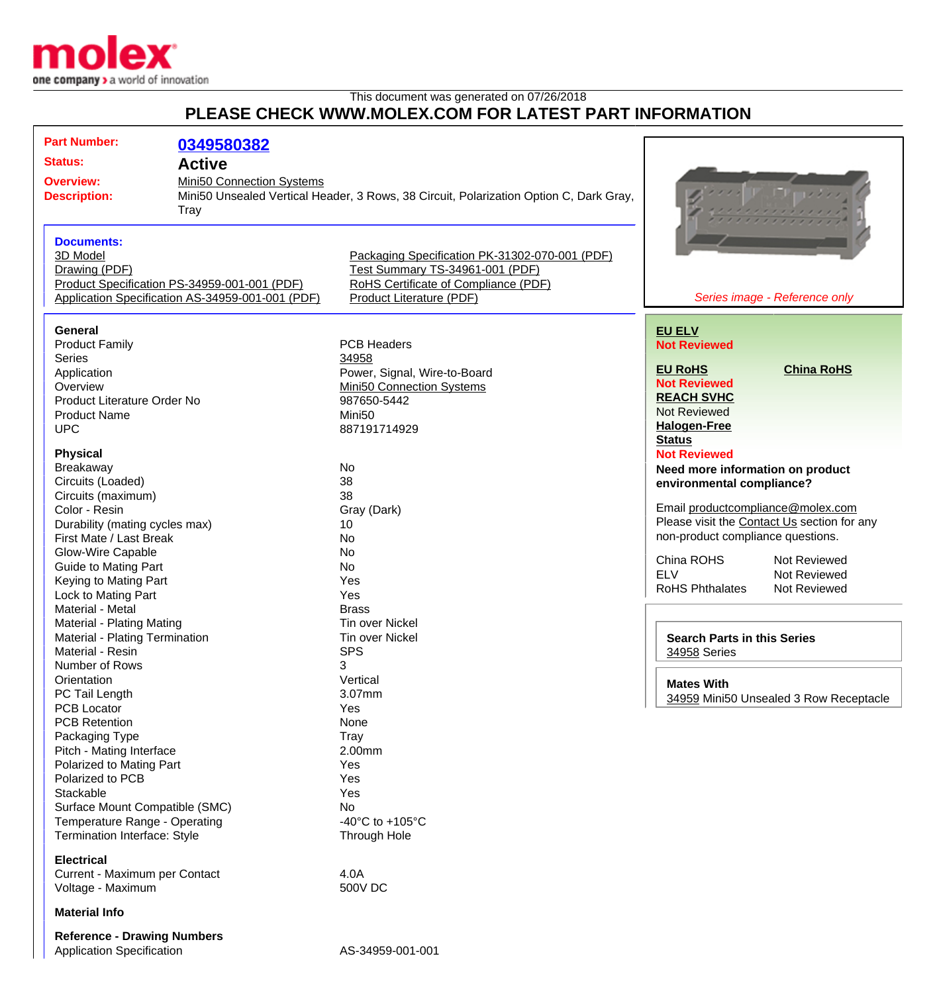

## This document was generated on 07/26/2018 **PLEASE CHECK WWW.MOLEX.COM FOR LATEST PART INFORMATION**

| <b>Part Number:</b>                                | 0349580382                                                                             |                                                |                                    |                                             |
|----------------------------------------------------|----------------------------------------------------------------------------------------|------------------------------------------------|------------------------------------|---------------------------------------------|
| <b>Status:</b>                                     | <b>Active</b>                                                                          |                                                |                                    |                                             |
|                                                    |                                                                                        |                                                |                                    |                                             |
| <b>Overview:</b>                                   | Mini50 Connection Systems                                                              |                                                |                                    |                                             |
| <b>Description:</b>                                | Mini50 Unsealed Vertical Header, 3 Rows, 38 Circuit, Polarization Option C, Dark Gray, |                                                |                                    |                                             |
|                                                    | <b>Tray</b>                                                                            |                                                |                                    |                                             |
|                                                    |                                                                                        |                                                |                                    |                                             |
| <b>Documents:</b>                                  |                                                                                        |                                                |                                    |                                             |
| 3D Model                                           |                                                                                        | Packaging Specification PK-31302-070-001 (PDF) |                                    |                                             |
| Drawing (PDF)                                      |                                                                                        | Test Summary TS-34961-001 (PDF)                |                                    |                                             |
|                                                    | Product Specification PS-34959-001-001 (PDF)                                           | RoHS Certificate of Compliance (PDF)           |                                    |                                             |
| Application Specification AS-34959-001-001 (PDF)   |                                                                                        | Product Literature (PDF)                       |                                    | Series image - Reference only               |
|                                                    |                                                                                        |                                                |                                    |                                             |
| <b>General</b>                                     |                                                                                        |                                                | <b>EU ELV</b>                      |                                             |
| <b>Product Family</b>                              |                                                                                        | <b>PCB Headers</b>                             | <b>Not Reviewed</b>                |                                             |
| <b>Series</b>                                      |                                                                                        | 34958                                          |                                    |                                             |
| Application                                        |                                                                                        | Power, Signal, Wire-to-Board                   | <b>EU RoHS</b>                     | <b>China RoHS</b>                           |
| Overview                                           |                                                                                        | Mini50 Connection Systems                      | <b>Not Reviewed</b>                |                                             |
|                                                    |                                                                                        | 987650-5442                                    | <b>REACH SVHC</b>                  |                                             |
| Product Literature Order No<br><b>Product Name</b> |                                                                                        | Mini <sub>50</sub>                             | <b>Not Reviewed</b>                |                                             |
|                                                    |                                                                                        |                                                | <b>Halogen-Free</b>                |                                             |
| <b>UPC</b>                                         |                                                                                        | 887191714929                                   | <b>Status</b>                      |                                             |
| <b>Physical</b>                                    |                                                                                        |                                                | <b>Not Reviewed</b>                |                                             |
| Breakaway                                          |                                                                                        | No                                             |                                    |                                             |
| Circuits (Loaded)                                  |                                                                                        | 38                                             | Need more information on product   |                                             |
| Circuits (maximum)                                 |                                                                                        | 38                                             | environmental compliance?          |                                             |
| Color - Resin                                      |                                                                                        |                                                | Email productcompliance@molex.com  |                                             |
|                                                    |                                                                                        | Gray (Dark)<br>10                              |                                    | Please visit the Contact Us section for any |
| Durability (mating cycles max)                     |                                                                                        | <b>No</b>                                      | non-product compliance questions.  |                                             |
| First Mate / Last Break                            |                                                                                        |                                                |                                    |                                             |
| Glow-Wire Capable                                  |                                                                                        | <b>No</b>                                      | China ROHS                         | Not Reviewed                                |
| <b>Guide to Mating Part</b>                        |                                                                                        | <b>No</b>                                      | <b>ELV</b>                         | Not Reviewed                                |
| Keying to Mating Part                              |                                                                                        | Yes                                            | <b>RoHS Phthalates</b>             | Not Reviewed                                |
| Lock to Mating Part                                |                                                                                        | Yes                                            |                                    |                                             |
| Material - Metal                                   |                                                                                        | <b>Brass</b>                                   |                                    |                                             |
| Material - Plating Mating                          |                                                                                        | <b>Tin over Nickel</b>                         |                                    |                                             |
| Material - Plating Termination                     |                                                                                        | <b>Tin over Nickel</b>                         | <b>Search Parts in this Series</b> |                                             |
| Material - Resin                                   |                                                                                        | <b>SPS</b>                                     | 34958 Series                       |                                             |
| 3<br>Number of Rows                                |                                                                                        |                                                |                                    |                                             |
| Orientation                                        |                                                                                        | Vertical                                       | <b>Mates With</b>                  |                                             |
| PC Tail Length                                     |                                                                                        | 3.07mm                                         |                                    | 34959 Mini50 Unsealed 3 Row Receptacle      |
| <b>PCB Locator</b>                                 |                                                                                        | Yes                                            |                                    |                                             |
| <b>PCB Retention</b>                               |                                                                                        | None                                           |                                    |                                             |
| Packaging Type                                     |                                                                                        | Tray                                           |                                    |                                             |
| Pitch - Mating Interface                           |                                                                                        | 2.00mm                                         |                                    |                                             |
| Polarized to Mating Part                           |                                                                                        | Yes                                            |                                    |                                             |
| Polarized to PCB                                   |                                                                                        | Yes                                            |                                    |                                             |
| Stackable                                          |                                                                                        | Yes                                            |                                    |                                             |
| Surface Mount Compatible (SMC)                     |                                                                                        | No                                             |                                    |                                             |
| Temperature Range - Operating                      |                                                                                        | -40 $^{\circ}$ C to +105 $^{\circ}$ C          |                                    |                                             |
| Termination Interface: Style                       |                                                                                        | Through Hole                                   |                                    |                                             |
| <b>Electrical</b>                                  |                                                                                        |                                                |                                    |                                             |
| Current - Maximum per Contact                      |                                                                                        | 4.0A                                           |                                    |                                             |
| Voltage - Maximum                                  |                                                                                        | 500V DC                                        |                                    |                                             |
| <b>Material Info</b>                               |                                                                                        |                                                |                                    |                                             |
|                                                    |                                                                                        |                                                |                                    |                                             |
| <b>Reference - Drawing Numbers</b>                 |                                                                                        |                                                |                                    |                                             |
| <b>Application Specification</b>                   |                                                                                        | AS-34959-001-001                               |                                    |                                             |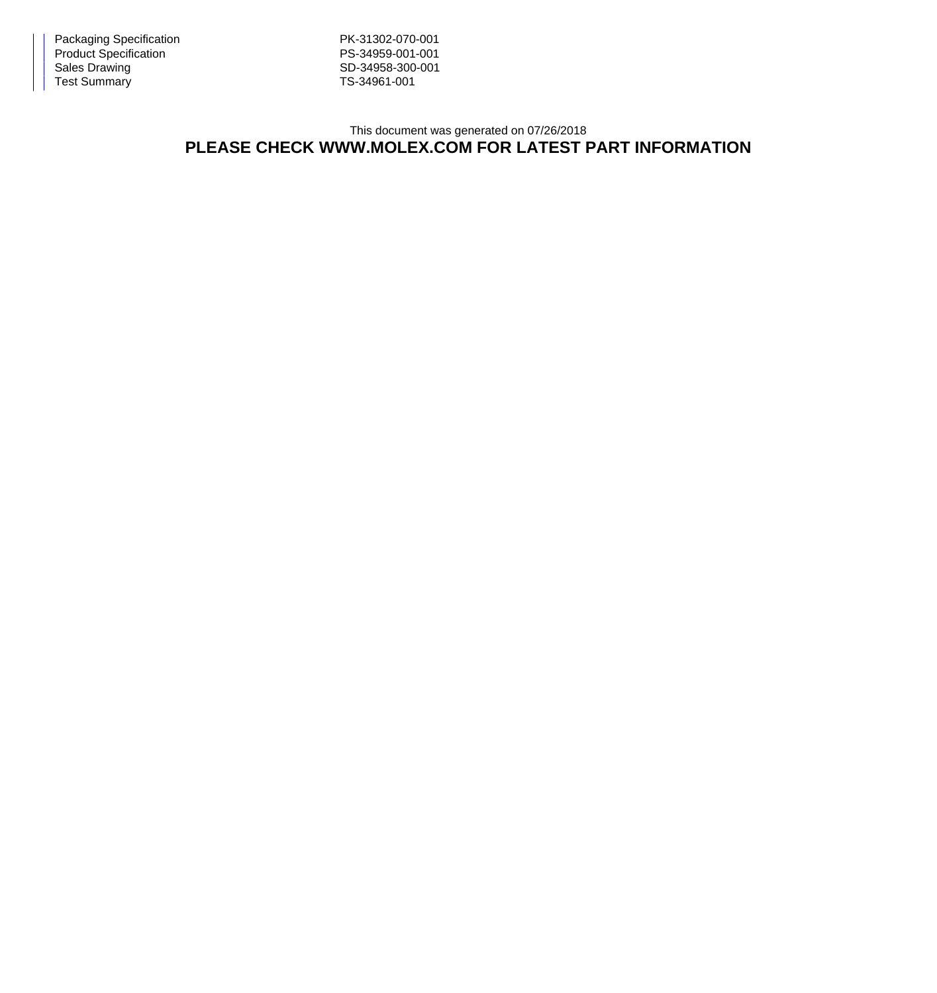Packaging Specification **PK-31302-070-001** Product Specification **PS-34959-001-001** Sales Drawing Sales Drawing SD-34958-300-001<br>Test Summary SD-34961-001 Test Summary

## This document was generated on 07/26/2018 **PLEASE CHECK WWW.MOLEX.COM FOR LATEST PART INFORMATION**